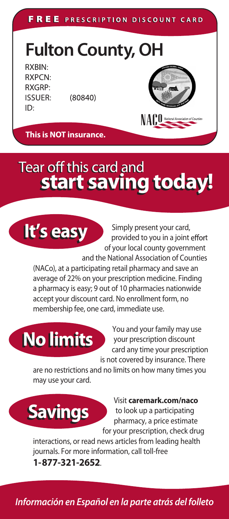FREE PRESCRIPTION DISCOUNT CARD

**Fulton County, OH** 

RXBIN: **RXPCN: RXGRP: ISSUER:** ID:

 $(80840)$ 



**This is NOT insurance.** 

## Tear off this card and start saving today!



Simply present your card, provided to you in a joint effort of your local county government

and the National Association of Counties (NACo), at a participating retail pharmacy and save an average of 22% on your prescription medicine. Finding a pharmacy is easy; 9 out of 10 pharmacies nationwide accept your discount card. No enrollment form, no membership fee, one card, immediate use.

**No limits** 



You and your family may use your prescription discount card any time your prescription is not covered by insurance. There

are no restrictions and no limits on how many times you may use your card.





interactions, or read news articles from leading health journals. For more information, call toll-free 1-877-321-2652.

Información en Español en la parte atrás del folleto